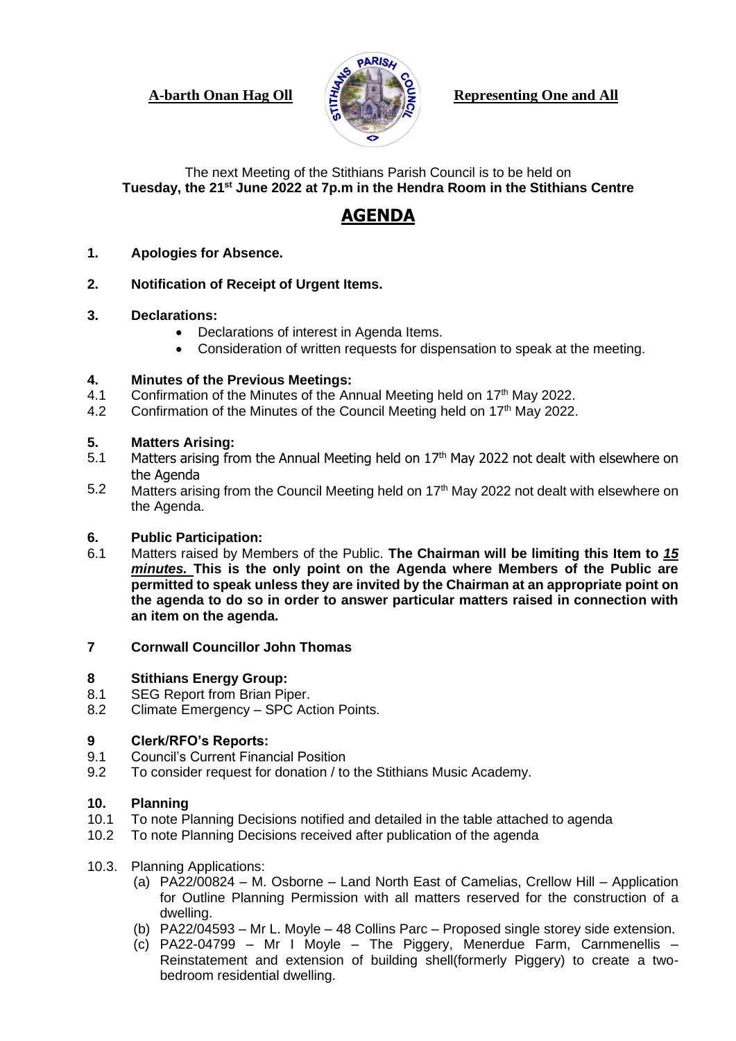

**A-barth Onan Hag Oll Representing One and All** 

The next Meeting of the Stithians Parish Council is to be held on **Tuesday, the 21st June 2022 at 7p.m in the Hendra Room in the Stithians Centre**

# **AGENDA**

- **1. Apologies for Absence.**
- **2. Notification of Receipt of Urgent Items.**
- **3. Declarations:**
	- Declarations of interest in Agenda Items.
	- Consideration of written requests for dispensation to speak at the meeting.

#### **4. Minutes of the Previous Meetings:**

- 4.1 Confirmation of the Minutes of the Annual Meeting held on 17<sup>th</sup> May 2022.
- 4.2 Confirmation of the Minutes of the Council Meeting held on 17<sup>th</sup> May 2022.

#### **5. Matters Arising:**

- 5.1 Matters arising from the Annual Meeting held on 17<sup>th</sup> May 2022 not dealt with elsewhere on the Agenda
- 5.2 Matters arising from the Council Meeting held on 17<sup>th</sup> May 2022 not dealt with elsewhere on the Agenda.

# **6. Public Participation:**

6.1 Matters raised by Members of the Public. **The Chairman will be limiting this Item to** *15 minutes.* **This is the only point on the Agenda where Members of the Public are permitted to speak unless they are invited by the Chairman at an appropriate point on the agenda to do so in order to answer particular matters raised in connection with an item on the agenda.**

# **7 Cornwall Councillor John Thomas**

#### **8 Stithians Energy Group:**

- 8.1 SEG Report from Brian Piper.
- 8.2 Climate Emergency – SPC Action Points.

#### **9 Clerk/RFO's Reports:**

- 9.1 Council's Current Financial Position
- 9.2 To consider request for donation / to the Stithians Music Academy.

# **10. Planning**

- 10.1 To note Planning Decisions notified and detailed in the table attached to agenda
- 10.2 To note Planning Decisions received after publication of the agenda
- 10.3. Planning Applications:
	- (a) PA22/00824 M. Osborne Land North East of Camelias, Crellow Hill Application for Outline Planning Permission with all matters reserved for the construction of a dwelling.
	- (b) PA22/04593 Mr L. Moyle 48 Collins Parc Proposed single storey side extension.
	- (c) PA22-04799 Mr I Moyle The Piggery, Menerdue Farm, Carnmenellis Reinstatement and extension of building shell(formerly Piggery) to create a twobedroom residential dwelling.